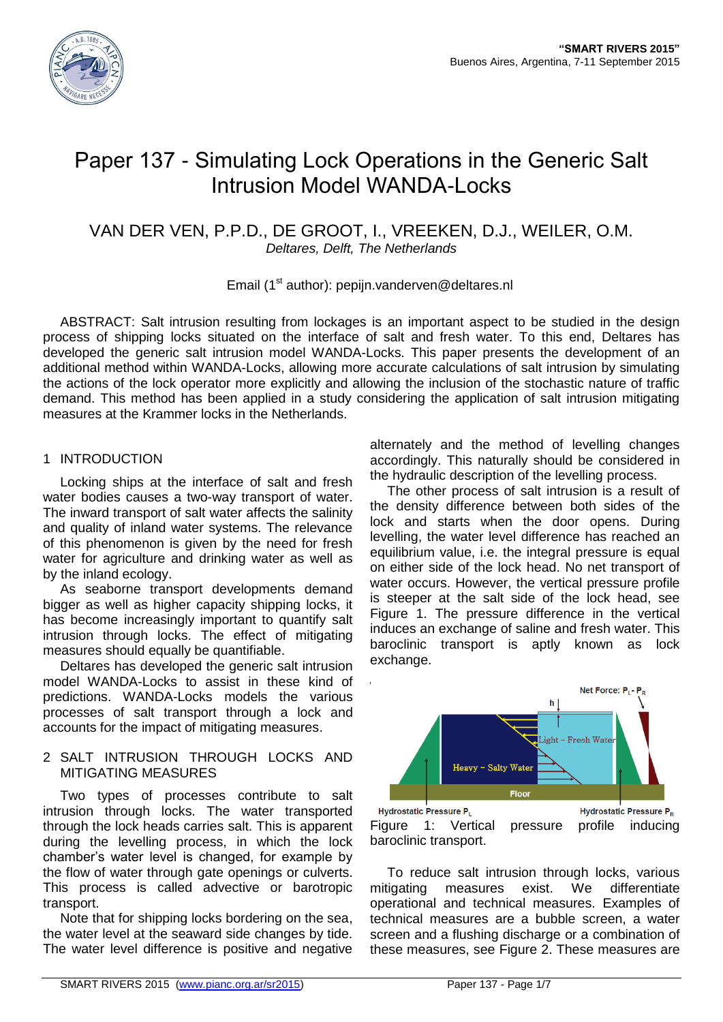

# Paper 137 - Simulating Lock Operations in the Generic Salt Intrusion Model WANDA-Locks

# VAN DER VEN, P.P.D., DE GROOT, I., VREEKEN, D.J., WEILER, O.M. *Deltares, Delft, The Netherlands*

#### Email (1<sup>st</sup> author): pepijn.vanderven@deltares.nl

ABSTRACT: Salt intrusion resulting from lockages is an important aspect to be studied in the design process of shipping locks situated on the interface of salt and fresh water. To this end, Deltares has developed the generic salt intrusion model WANDA-Locks. This paper presents the development of an additional method within WANDA-Locks, allowing more accurate calculations of salt intrusion by simulating the actions of the lock operator more explicitly and allowing the inclusion of the stochastic nature of traffic demand. This method has been applied in a study considering the application of salt intrusion mitigating measures at the Krammer locks in the Netherlands.

# 1 INTRODUCTION

Locking ships at the interface of salt and fresh water bodies causes a two-way transport of water. The inward transport of salt water affects the salinity and quality of inland water systems. The relevance of this phenomenon is given by the need for fresh water for agriculture and drinking water as well as by the inland ecology.

As seaborne transport developments demand bigger as well as higher capacity shipping locks, it has become increasingly important to quantify salt intrusion through locks. The effect of mitigating measures should equally be quantifiable.

Deltares has developed the generic salt intrusion model WANDA-Locks to assist in these kind of predictions. WANDA-Locks models the various processes of salt transport through a lock and accounts for the impact of mitigating measures.

#### 2 SALT INTRUSION THROUGH LOCKS AND MITIGATING MEASURES

Two types of processes contribute to salt intrusion through locks. The water transported through the lock heads carries salt. This is apparent during the levelling process, in which the lock chamber's water level is changed, for example by the flow of water through gate openings or culverts. This process is called advective or barotropic transport.

Note that for shipping locks bordering on the sea, the water level at the seaward side changes by tide. The water level difference is positive and negative alternately and the method of levelling changes accordingly. This naturally should be considered in the hydraulic description of the levelling process.

The other process of salt intrusion is a result of the density difference between both sides of the lock and starts when the door opens. During levelling, the water level difference has reached an equilibrium value, i.e. the integral pressure is equal on either side of the lock head. No net transport of water occurs. However, the vertical pressure profile is steeper at the salt side of the lock head, see [Figure 1.](#page-0-0) The pressure difference in the vertical induces an exchange of saline and fresh water. This baroclinic transport is aptly known as lock exchange.



<span id="page-0-0"></span>To reduce salt intrusion through locks, various mitigating measures exist. We differentiate operational and technical measures. Examples of technical measures are a bubble screen, a water screen and a flushing discharge or a combination of these measures, see [Figure 2.](#page-1-0) These measures are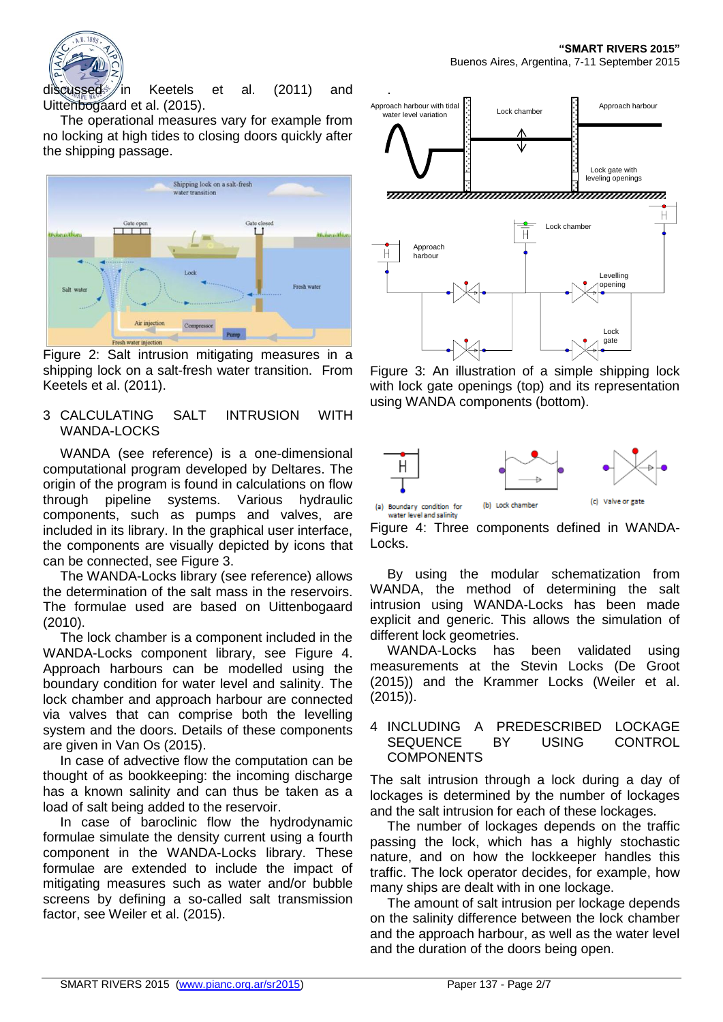

discussed in Keetels et al. (2011) and Uittenbogaard et al. (2015).

The operational measures vary for example from no locking at high tides to closing doors quickly after the shipping passage.



<span id="page-1-0"></span>Figure 2: Salt intrusion mitigating measures in a shipping lock on a salt-fresh water transition. From Keetels et al. (2011).

#### 3 CALCULATING SALT INTRUSION WITH WANDA-LOCKS

WANDA (see reference) is a one-dimensional computational program developed by Deltares. The origin of the program is found in calculations on flow through pipeline systems. Various hydraulic components, such as pumps and valves, are included in its library. In the graphical user interface, the components are visually depicted by icons that can be connected, see [Figure 3.](#page-1-1)

The WANDA-Locks library (see reference) allows the determination of the salt mass in the reservoirs. The formulae used are based on Uittenbogaard (2010).

The lock chamber is a component included in the WANDA-Locks component library, see [Figure 4.](#page-1-2) Approach harbours can be modelled using the boundary condition for water level and salinity. The lock chamber and approach harbour are connected via valves that can comprise both the levelling system and the doors. Details of these components are given in Van Os (2015).

In case of advective flow the computation can be thought of as bookkeeping: the incoming discharge has a known salinity and can thus be taken as a load of salt being added to the reservoir.

In case of baroclinic flow the hydrodynamic formulae simulate the density current using a fourth component in the WANDA-Locks library. These formulae are extended to include the impact of mitigating measures such as water and/or bubble screens by defining a so-called salt transmission factor, see Weiler et al. (2015).



<span id="page-1-1"></span>Figure 3: An illustration of a simple shipping lock with lock gate openings (top) and its representation using WANDA components (bottom).



<span id="page-1-2"></span>

By using the modular schematization from WANDA, the method of determining the salt intrusion using WANDA-Locks has been made explicit and generic. This allows the simulation of different lock geometries.

WANDA-Locks has been validated using measurements at the Stevin Locks (De Groot (2015)) and the Krammer Locks (Weiler et al. (2015)).

#### 4 INCLUDING A PREDESCRIBED LOCKAGE SEQUENCE BY USING CONTROL **COMPONENTS**

The salt intrusion through a lock during a day of lockages is determined by the number of lockages and the salt intrusion for each of these lockages.

The number of lockages depends on the traffic passing the lock, which has a highly stochastic nature, and on how the lockkeeper handles this traffic. The lock operator decides, for example, how many ships are dealt with in one lockage.

The amount of salt intrusion per lockage depends on the salinity difference between the lock chamber and the approach harbour, as well as the water level and the duration of the doors being open.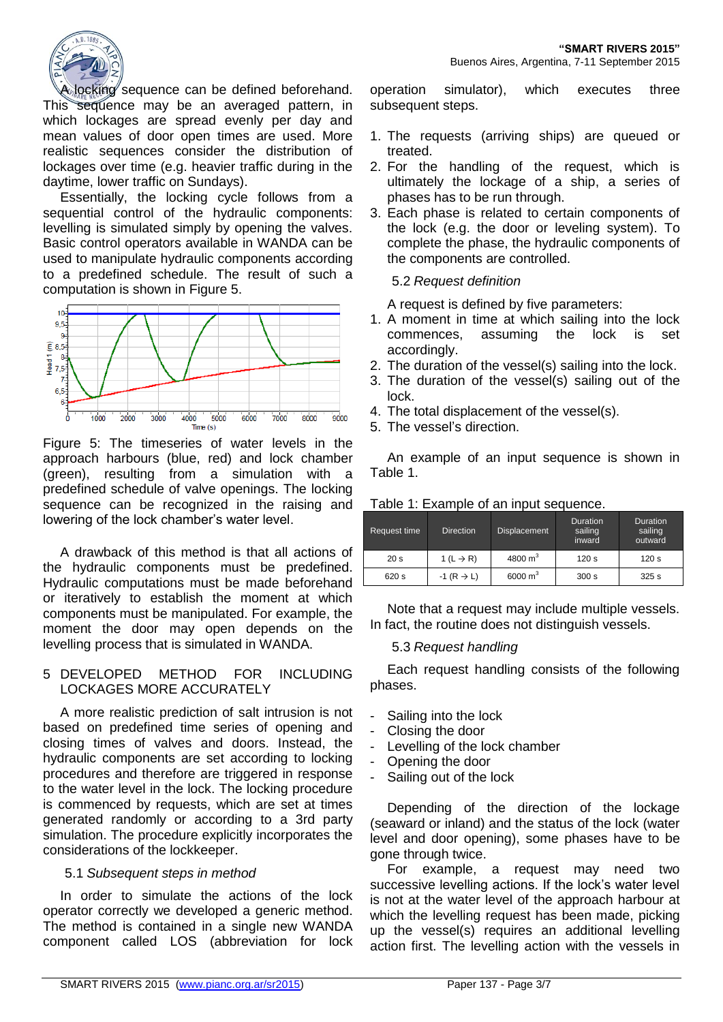

A locking sequence can be defined beforehand. This sequence may be an averaged pattern, in which lockages are spread evenly per day and mean values of door open times are used. More realistic sequences consider the distribution of lockages over time (e.g. heavier traffic during in the daytime, lower traffic on Sundays).

Essentially, the locking cycle follows from a sequential control of the hydraulic components: levelling is simulated simply by opening the valves. Basic control operators available in WANDA can be used to manipulate hydraulic components according to a predefined schedule. The result of such a computation is shown in [Figure 5.](#page-2-0)



<span id="page-2-0"></span>Figure 5: The timeseries of water levels in the approach harbours (blue, red) and lock chamber (green), resulting from a simulation with a predefined schedule of valve openings. The locking sequence can be recognized in the raising and lowering of the lock chamber's water level.

A drawback of this method is that all actions of the hydraulic components must be predefined. Hydraulic computations must be made beforehand or iteratively to establish the moment at which components must be manipulated. For example, the moment the door may open depends on the levelling process that is simulated in WANDA.

#### 5 DEVELOPED METHOD FOR INCLUDING LOCKAGES MORE ACCURATELY

A more realistic prediction of salt intrusion is not based on predefined time series of opening and closing times of valves and doors. Instead, the hydraulic components are set according to locking procedures and therefore are triggered in response to the water level in the lock. The locking procedure is commenced by requests, which are set at times generated randomly or according to a 3rd party simulation. The procedure explicitly incorporates the considerations of the lockkeeper.

#### 5.1 *Subsequent steps in method*

In order to simulate the actions of the lock operator correctly we developed a generic method. The method is contained in a single new WANDA component called LOS (abbreviation for lock

operation simulator), which executes three subsequent steps.

- 1. The requests (arriving ships) are queued or treated.
- 2. For the handling of the request, which is ultimately the lockage of a ship, a series of phases has to be run through.
- 3. Each phase is related to certain components of the lock (e.g. the door or leveling system). To complete the phase, the hydraulic components of the components are controlled.

# 5.2 *Request definition*

A request is defined by five parameters:

- 1. A moment in time at which sailing into the lock commences, assuming the lock is set accordingly.
- 2. The duration of the vessel(s) sailing into the lock.
- 3. The duration of the vessel(s) sailing out of the lock.
- 4. The total displacement of the vessel(s).
- 5. The vessel's direction.

An example of an input sequence is shown in [Table 1.](#page-2-1)

<span id="page-2-1"></span>

|  |  | Table 1: Example of an input sequence. |
|--|--|----------------------------------------|
|--|--|----------------------------------------|

| <b>Request time</b> | <b>Direction</b>         | <b>Displacement</b> | Duration<br>sailing<br>inward | Duration<br>sailing<br>outward |
|---------------------|--------------------------|---------------------|-------------------------------|--------------------------------|
| 20 <sub>s</sub>     | 1 (L $\rightarrow$ R)    | 4800 $m3$           | 120 <sub>s</sub>              | 120 <sub>s</sub>               |
| 620 s               | $-1$ (R $\rightarrow$ L) | 6000 $m3$           | 300 s                         | 325s                           |

Note that a request may include multiple vessels. In fact, the routine does not distinguish vessels.

#### 5.3 *Request handling*

Each request handling consists of the following phases.

- Sailing into the lock
- Closing the door
- Levelling of the lock chamber
- Opening the door
- Sailing out of the lock

Depending of the direction of the lockage (seaward or inland) and the status of the lock (water level and door opening), some phases have to be gone through twice.

For example, a request may need two successive levelling actions. If the lock's water level is not at the water level of the approach harbour at which the levelling request has been made, picking up the vessel(s) requires an additional levelling action first. The levelling action with the vessels in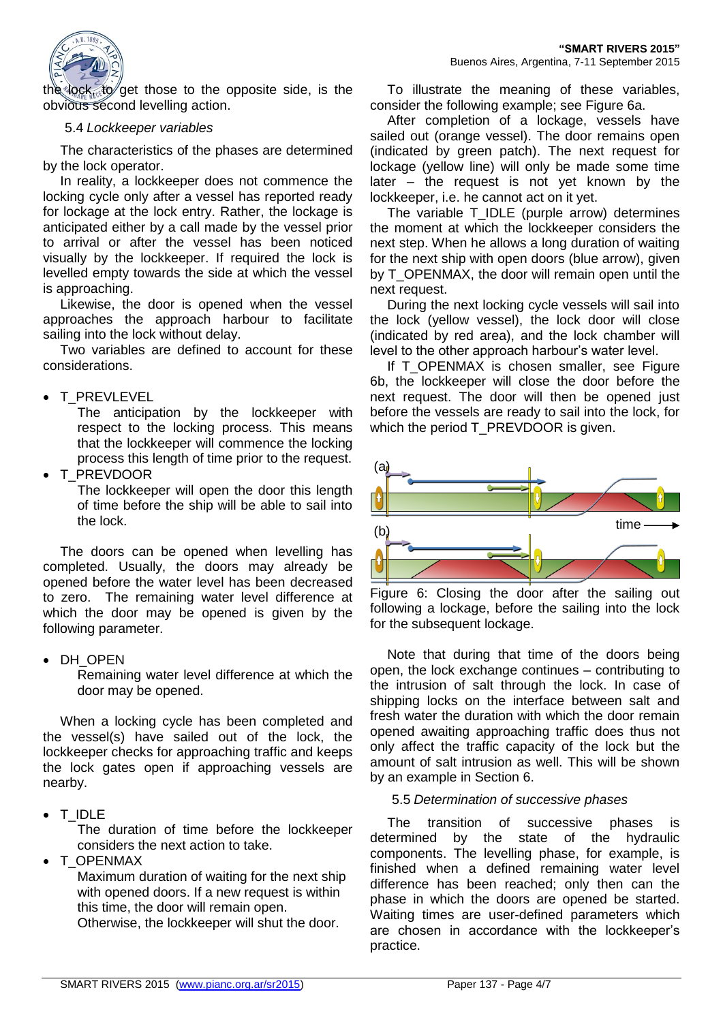

the lock, to get those to the opposite side, is the obvious second levelling action.

#### 5.4 *Lockkeeper variables*

The characteristics of the phases are determined by the lock operator.

In reality, a lockkeeper does not commence the locking cycle only after a vessel has reported ready for lockage at the lock entry. Rather, the lockage is anticipated either by a call made by the vessel prior to arrival or after the vessel has been noticed visually by the lockkeeper. If required the lock is levelled empty towards the side at which the vessel is approaching.

Likewise, the door is opened when the vessel approaches the approach harbour to facilitate sailing into the lock without delay.

Two variables are defined to account for these considerations.

# • T\_PREVLEVEL

The anticipation by the lockkeeper with respect to the locking process. This means that the lockkeeper will commence the locking process this length of time prior to the request.

T\_PREVDOOR

The lockkeeper will open the door this length of time before the ship will be able to sail into the lock.

The doors can be opened when levelling has completed. Usually, the doors may already be opened before the water level has been decreased to zero. The remaining water level difference at which the door may be opened is given by the following parameter.

#### • DH\_OPEN

Remaining water level difference at which the door may be opened.

When a locking cycle has been completed and the vessel(s) have sailed out of the lock, the lockkeeper checks for approaching traffic and keeps the lock gates open if approaching vessels are nearby.

• T\_IDLE

The duration of time before the lockkeeper considers the next action to take.

T\_OPENMAX

Maximum duration of waiting for the next ship with opened doors. If a new request is within this time, the door will remain open. Otherwise, the lockkeeper will shut the door.

To illustrate the meaning of these variables, consider the following example; see [Figure 6a](#page-3-0).

After completion of a lockage, vessels have sailed out (orange vessel). The door remains open (indicated by green patch). The next request for lockage (yellow line) will only be made some time later – the request is not yet known by the lockkeeper, i.e. he cannot act on it yet.

The variable T\_IDLE (purple arrow) determines the moment at which the lockkeeper considers the next step. When he allows a long duration of waiting for the next ship with open doors (blue arrow), given by T\_OPENMAX, the door will remain open until the next request.

During the next locking cycle vessels will sail into the lock (yellow vessel), the lock door will close (indicated by red area), and the lock chamber will level to the other approach harbour's water level.

If T\_OPENMAX is chosen smaller, see Figure [6b](#page-3-0), the lockkeeper will close the door before the next request. The door will then be opened just before the vessels are ready to sail into the lock, for which the period T\_PREVDOOR is given.



<span id="page-3-0"></span>Figure 6: Closing the door after the sailing out following a lockage, before the sailing into the lock for the subsequent lockage.

Note that during that time of the doors being open, the lock exchange continues – contributing to the intrusion of salt through the lock. In case of shipping locks on the interface between salt and fresh water the duration with which the door remain opened awaiting approaching traffic does thus not only affect the traffic capacity of the lock but the amount of salt intrusion as well. This will be shown by an example in Section [6.](#page-5-0)

# 5.5 *Determination of successive phases*

The transition of successive phases is determined by the state of the hydraulic components. The levelling phase, for example, is finished when a defined remaining water level difference has been reached; only then can the phase in which the doors are opened be started. Waiting times are user-defined parameters which are chosen in accordance with the lockkeeper's practice.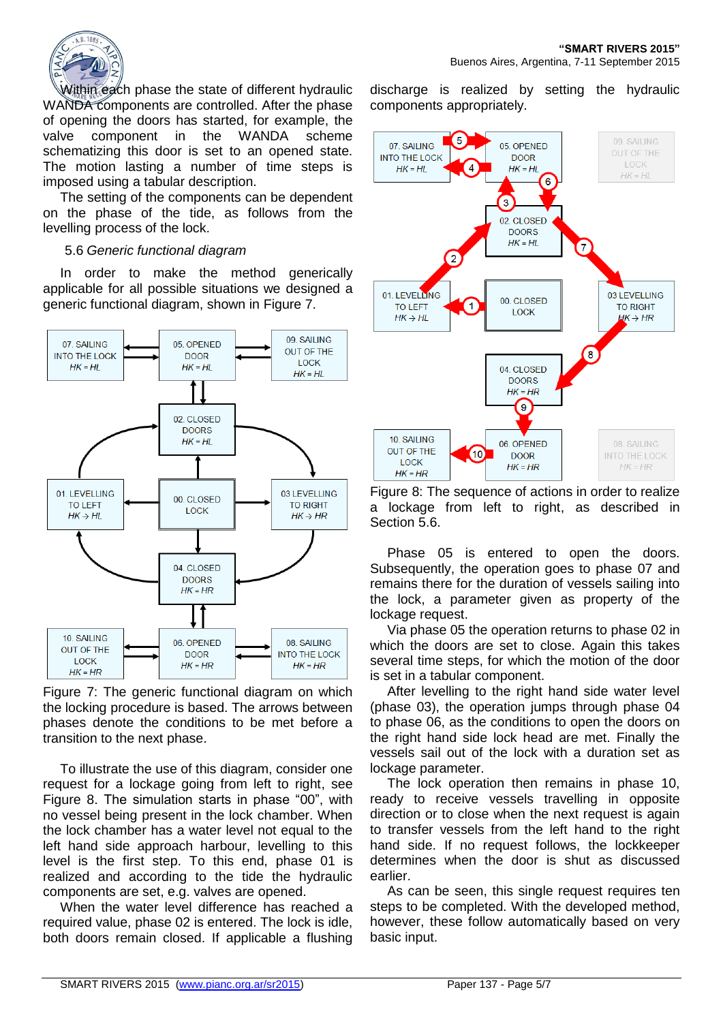

Within each phase the state of different hydraulic WANDA components are controlled. After the phase of opening the doors has started, for example, the valve component in the WANDA scheme schematizing this door is set to an opened state. The motion lasting a number of time steps is imposed using a tabular description.

The setting of the components can be dependent on the phase of the tide, as follows from the levelling process of the lock.

#### <span id="page-4-2"></span>5.6 *Generic functional diagram*

In order to make the method generically applicable for all possible situations we designed a generic functional diagram, shown in [Figure 7.](#page-4-0)



<span id="page-4-0"></span>Figure 7: The generic functional diagram on which the locking procedure is based. The arrows between phases denote the conditions to be met before a transition to the next phase.

To illustrate the use of this diagram, consider one request for a lockage going from left to right, see [Figure 8.](#page-4-1) The simulation starts in phase "00", with no vessel being present in the lock chamber. When the lock chamber has a water level not equal to the left hand side approach harbour, levelling to this level is the first step. To this end, phase 01 is realized and according to the tide the hydraulic components are set, e.g. valves are opened.

When the water level difference has reached a required value, phase 02 is entered. The lock is idle, both doors remain closed. If applicable a flushing discharge is realized by setting the hydraulic components appropriately.



<span id="page-4-1"></span>Figure 8: The sequence of actions in order to realize a lockage from left to right, as described in Section [5.6.](#page-4-2)

Phase 05 is entered to open the doors. Subsequently, the operation goes to phase 07 and remains there for the duration of vessels sailing into the lock, a parameter given as property of the lockage request.

Via phase 05 the operation returns to phase 02 in which the doors are set to close. Again this takes several time steps, for which the motion of the door is set in a tabular component.

After levelling to the right hand side water level (phase 03), the operation jumps through phase 04 to phase 06, as the conditions to open the doors on the right hand side lock head are met. Finally the vessels sail out of the lock with a duration set as lockage parameter.

The lock operation then remains in phase 10, ready to receive vessels travelling in opposite direction or to close when the next request is again to transfer vessels from the left hand to the right hand side. If no request follows, the lockkeeper determines when the door is shut as discussed earlier.

As can be seen, this single request requires ten steps to be completed. With the developed method, however, these follow automatically based on very basic input.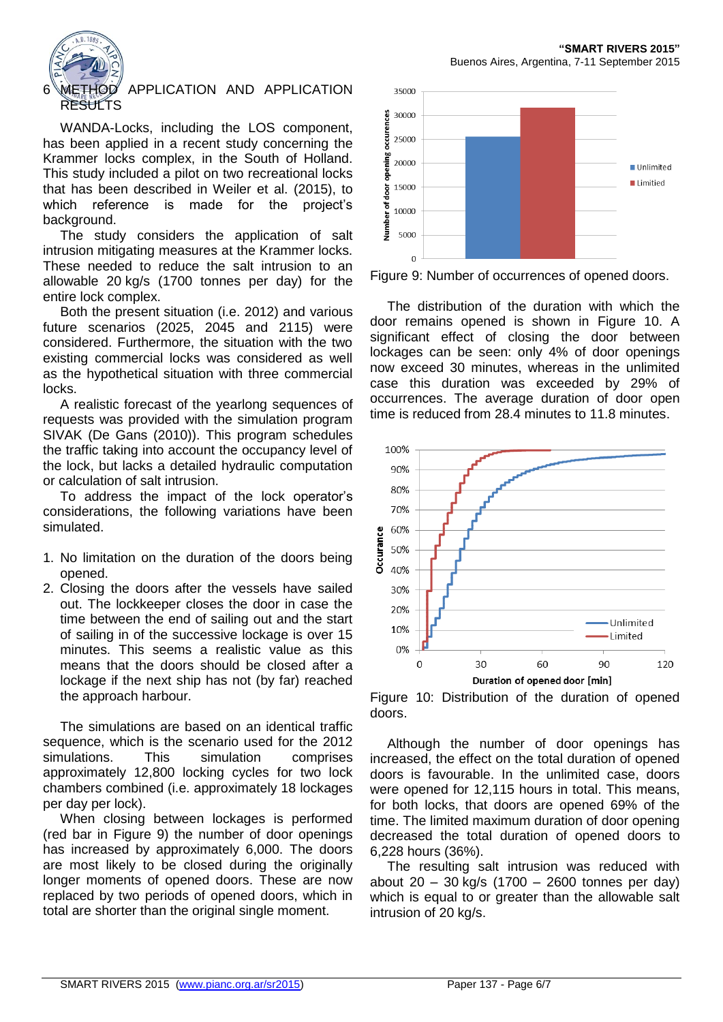

#### <span id="page-5-0"></span>6 METHOD APPLICATION AND APPLICATION RE<del>SU</del>LTS

WANDA-Locks, including the LOS component, has been applied in a recent study concerning the Krammer locks complex, in the South of Holland. This study included a pilot on two recreational locks that has been described in Weiler et al. (2015), to which reference is made for the project's background.

The study considers the application of salt intrusion mitigating measures at the Krammer locks. These needed to reduce the salt intrusion to an allowable 20 kg/s (1700 tonnes per day) for the entire lock complex.

Both the present situation (i.e. 2012) and various future scenarios (2025, 2045 and 2115) were considered. Furthermore, the situation with the two existing commercial locks was considered as well as the hypothetical situation with three commercial locks.

A realistic forecast of the yearlong sequences of requests was provided with the simulation program SIVAK (De Gans (2010)). This program schedules the traffic taking into account the occupancy level of the lock, but lacks a detailed hydraulic computation or calculation of salt intrusion.

To address the impact of the lock operator's considerations, the following variations have been simulated.

- 1. No limitation on the duration of the doors being opened.
- 2. Closing the doors after the vessels have sailed out. The lockkeeper closes the door in case the time between the end of sailing out and the start of sailing in of the successive lockage is over 15 minutes. This seems a realistic value as this means that the doors should be closed after a lockage if the next ship has not (by far) reached the approach harbour.

The simulations are based on an identical traffic sequence, which is the scenario used for the 2012 simulations. This simulation comprises approximately 12,800 locking cycles for two lock chambers combined (i.e. approximately 18 lockages per day per lock).

When closing between lockages is performed (red bar in [Figure 9\)](#page-5-1) the number of door openings has increased by approximately 6,000. The doors are most likely to be closed during the originally longer moments of opened doors. These are now replaced by two periods of opened doors, which in total are shorter than the original single moment.



<span id="page-5-1"></span>Figure 9: Number of occurrences of opened doors.

The distribution of the duration with which the door remains opened is shown in [Figure 10.](#page-5-2) A significant effect of closing the door between lockages can be seen: only 4% of door openings now exceed 30 minutes, whereas in the unlimited case this duration was exceeded by 29% of occurrences. The average duration of door open time is reduced from 28.4 minutes to 11.8 minutes.



<span id="page-5-2"></span>

Although the number of door openings has increased, the effect on the total duration of opened doors is favourable. In the unlimited case, doors were opened for 12,115 hours in total. This means, for both locks, that doors are opened 69% of the time. The limited maximum duration of door opening decreased the total duration of opened doors to 6,228 hours (36%).

The resulting salt intrusion was reduced with about 20 – 30 kg/s (1700 – 2600 tonnes per day) which is equal to or greater than the allowable salt intrusion of 20 kg/s.